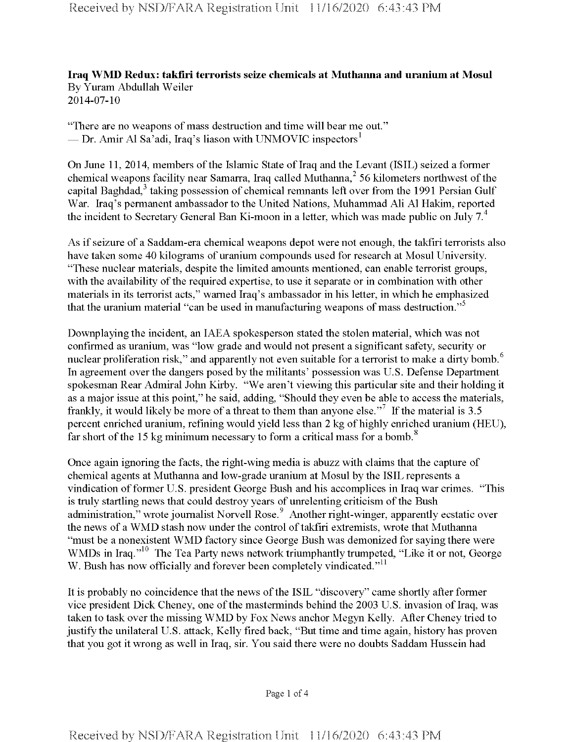**Iraq WMD Redux: takfiri terrorists seize chemicals at Muthanna and uranium at Mosul** By Yuram Abdullah Weiler 2014-07-10

"There are no weapons of mass destruction and time will bear me out." — Dr. Amir Al Sa'adi, Iraq's liason with UNMOVIC inspectors<sup>1</sup>

On June 11, 2014, members of the Islamic State of Iraq and the Levant (ISIL) seized a former chemical weapons facility near Samarra, Iraq called Muthanna, $2$  56 kilometers northwest of the capital Baghdad,<sup>3</sup> taking possession of chemical remnants left over from the 1991 Persian Gulf War. Iraq's permanent ambassador to the United Nations, Muhammad Ali Al Hakim, reported the incident to Secretary General Ban Ki-moon in a letter, which was made public on July  $7<sup>4</sup>$ 

As if seizure of a Saddam-era chemical weapons depot were not enough, the takfiri terrorists also have taken some 40 kilograms of uranium compounds used for research at Mosul University. "These nuclear materials, despite the limited amounts mentioned, can enable terrorist groups, with the availability of the required expertise, to use it separate or in combination with other materials in its terrorist acts," warned Iraq's ambassador in his letter, in which he emphasized that the uranium material "can be used in manufacturing weapons of mass destruction."<sup>5</sup>

Downplaying the incident, an IAEA spokesperson stated the stolen material, which was not confirmed as uranium, was "low grade and would not present a significant safety, security or nuclear proliferation risk," and apparently not even suitable for a terrorist to make a dirty bomb.<sup>6</sup> In agreement over the dangers posed by the militants' possession was U.S. Defense Department spokesman Rear Admiral John Kirby. "We aren't viewing this particular site and their holding it as a major issue at this point," he said, adding, "Should they even be able to access the materials, frankly, it would likely be more of a threat to them than anyone else."<sup>7</sup> If the material is 3.5 percent enriched uranium, refining would yield less than 2 kg of highly enriched uranium (HEU), far short of the 15 kg minimum necessary to form a critical mass for a bomb.<sup>8</sup>

Once again ignoring the facts, the right-wing media is abuzz with claims that the capture of chemical agents at Muthanna and low-grade uranium at Mosul by the ISIL represents a vindication of former U.S. president George Bush and his accomplices in Iraq war crimes. "This is truly startling news that could destroy years of unrelenting criticism of the Bush administration," wrote journalist Norvell Rose.<sup>9</sup> Another right-winger, apparently ecstatic over the news of a WMD stash now under the control of takfiri extremists, wrote that Muthanna "must be a nonexistent WMD factory since George Bush was demonized for saying there were WMDs in Iraq."<sup>10</sup> The Tea Party news network triumphantly trumpeted, "Like it or not, George W. Bush has now officially and forever been completely vindicated."<sup>11</sup>

It is probably no coincidence that the news ofthe ISIL "discovery" came shortly after former vice president Dick Cheney, one of the masterminds behind the 2003 U.S. invasion of Iraq, was taken to task over the missing WMD by Fox News anchor Megyn Kelly. After Cheney tried to justify the unilateral U.S. attack, Kelly fired back, "But time and time again, history has proven that you got it wrong as well in Iraq, sir. You said there were no doubts Saddam Hussein had

Page <sup>1</sup> of 4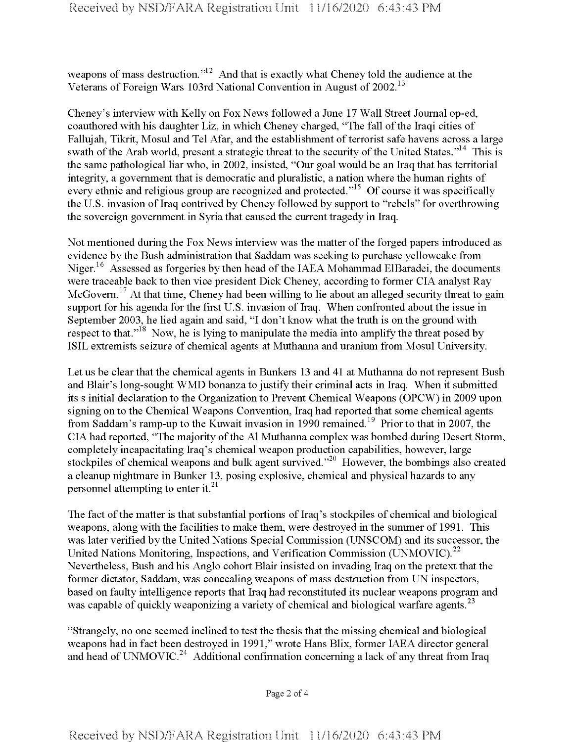weapons of mass destruction."<sup>12</sup> And that is exactly what Cheney told the audience at the Veterans of Foreign Wars 103rd National Convention in August of 2002.<sup>13</sup>

Cheney's interview with Kelly on Fox News followed a June 17 Wall Street Journal op-ed, coauthored with his daughter Liz, in which Cheney charged, "The fall of the Iraqi cities of Fallujah, Tikrit, Mosul and Tel Afar, and the establishment of terrorist safe havens across a large swath of the Arab world, present a strategic threat to the security of the United States."<sup>14</sup> This is the same pathological liar who, in 2002, insisted, "Our goal would be an Iraq that has territorial integrity, a government that is democratic and pluralistic, a nation where the human rights of every ethnic and religious group are recognized and protected."<sup>15</sup> Of course it was specifically the U.S. invasion of Iraq contrived by Cheney followed by support to "rebels" for overthrowing the sovereign government in Syria that caused the current tragedy in Iraq.

Not mentioned during the Fox News interview was the matter of the forged papers introduced as evidence by the Bush administration that Saddam was seeking to purchase yellowcake from Niger.<sup>16</sup> Assessed as forgeries by then head of the IAEA Mohammad ElBaradei, the documents were traceable back to then vice president Dick Cheney, according to former CIA analyst Ray McGovern.<sup>17</sup> At that time, Cheney had been willing to lie about an alleged security threat to gain support for his agenda for the first U.S. invasion of Iraq. When confronted about the issue in September 2003, he lied again and said, "I don't know what the truth is on the ground with respect to that."<sup>18</sup> Now, he is lying to manipulate the media into amplify the threat posed by ISIL extremists seizure of chemical agents at Muthanna and uranium from Mosul University.

Let us be clear that the chemical agents in Bunkers 13 and 41 at Muthanna do not represent Bush and Blair's long-sought WMD bonanza to justify their criminal acts in Iraq. When it submitted its s initial declaration to the Organization to Prevent Chemical Weapons (OPCW) in 2009 upon signing on to the Chemical Weapons Convention, Iraq had reported that some chemical agents from Saddam's ramp-up to the Kuwait invasion in 1990 remained.<sup>19</sup> Prior to that in 2007, the CIA had reported, "The majority of the Al Muthanna complex was bombed during Desert Storm, completely incapacitating Iraq's chemical weapon production capabilities, however, large stockpiles of chemical weapons and bulk agent survived."<sup>20</sup> However, the bombings also created a cleanup nightmare in Bunker 13, posing explosive, chemical and physical hazards to any personnel attempting to enter it. $^{21}$ 

The fact of the matter is that substantial portions of Iraq's stockpiles of chemical and biological weapons, along with the facilities to make them, were destroyed in the summer of 1991. This was later verified by the United Nations Special Commission (UNSCOM) and its successor, the United Nations Monitoring, Inspections, and Verification Commission (UNMOVIC).<sup>22</sup> Nevertheless, Bush and his Anglo cohort Blair insisted on invading Iraq on the pretext that the former dictator, Saddam, was concealing weapons of mass destruction from UN inspectors, based on faulty intelligence reports that Iraq had reconstituted its nuclear weapons program and was capable of quickly weaponizing a variety of chemical and biological warfare agents.<sup>23</sup>

"Strangely, no one seemed inclined to test the thesis that the missing chemical and biological weapons had in fact been destroyed in 1991," wrote Hans Blix, former IAEA director general and head of UNMOVIC.<sup>24</sup> Additional confirmation concerning a lack of any threat from Iraq

Page 2 of 4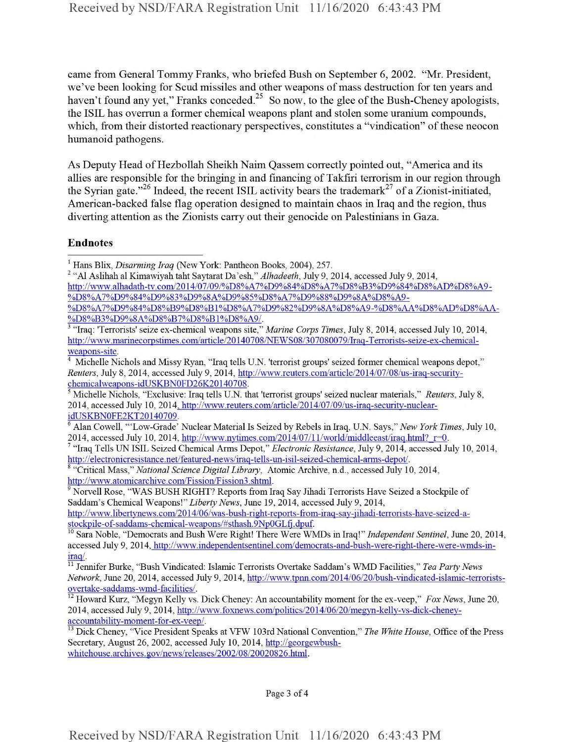came from General Tommy Franks, who briefed Bush on September 6, 2002. "Mr. President, we've been looking for Scud missiles and other weapons of mass destruction for ten years and haven't found any yet," Franks conceded. $2^5$  So now, to the glee of the Bush-Cheney apologists, the ISIL has overrun a former chemical weapons plant and stolen some uranium compounds, which, from their distorted reactionary perspectives, constitutes a "vindication" of these neocon humanoid pathogens.

As Deputy Head of Hezbollah Sheikh Naim Qassem correctly pointed out, "America and its allies are responsible for the bringing in and financing of Takfiri terrorism in our region through the Syrian gate."<sup>26</sup> Indeed, the recent ISIL activity bears the trademark<sup>27</sup> of a Zionist-initiated, American-backed false flag operation designed to maintain chaos in Iraq and the region, thus diverting attention as the Zionists carry out their genocide on Palestinians in Gaza.

## Endnotes

<sup>2</sup> "A1 Aslihah al Kimawiyah taht Saytarat Da'esh," *Alhadeeth,* July 9, 2014, accessed July 9, 2014, http://www.alhadath-tv.com/2014/07/Q9/%D8%A7%D9%84%D8%A7%D8%B3%D9%84%D8%AD%D8%A9- %D8%A7%D9%84%D9%83%D9%8A%D9%85%D8%A7%D9%88%D9%8A%D8%A9- %D8%A7%D9%84%D8%B9%D8%B1%D8%A7%D9%82%D9%8A%D8%A9-%D8%AA%D8%AD%D8%AA- %D8%B3%D9%8A%D8%B7%D8%B1%D8%A9/.

9 Norvell Rose, "WAS BUSH RIGHT? Reports from Iraq Say Jihadi Terrorists Have Seized a Stockpile of Saddam's Chemical Weapons*\" Liberty News,* June 19, 2014, accessed July 9, 2014, http://www.libertvnews.com/2014/06/was-bush-right-reports-ffom-iraq-say-iihadi-terrorists-have-seized-astockpile-of-saddams-chemical-weapons/#sthash.9NpOGLfi.dpuf.

Page 3 of 4

<sup>1</sup> Hans Blix, *Disarming Iraq* (New York: Pantheon Books, 2004), 257.

<sup>&</sup>lt;sup>3</sup> "Iraq: 'Terrorists' seize ex-chemical weapons site," *Marine Corps Times*, July 8, 2014, accessed July 10, 2014, http://www.marmecorpstimes.com/article/20140708/NEWS08/307080Q79/Iraq-Terrorists-seize-ex-chemicalweapons-site.

<sup>&</sup>lt;sup>4</sup> Michelle Nichols and Missy Ryan, "Iraq tells U.N. 'terrorist groups' seized former chemical weapons depot," *Reuters,* July 8, 2014, accessed July 9, 2014, http://www.reuters.com/article/2014/07/Q8/us-iraq-securitvchemicalweapons-idUSKBN0FD26K20140708.

<sup>5</sup> Michelle Nichols, "Exclusive: Iraq tells U.N. that 'terrorist groups' seized nuclear materials," *Reuters,* July 8, 2014, accessed July 10, 2014, http://www.reuters.com/article/2014/07/Q9/us-iraq-securitv-nuclearidUSKBN0FE2KT20140709.

<sup>6</sup> Alan Cowell, "'Low-Grade' Nuclear Material Is Seized by Rebels in Iraq, U.N. Says," *New York Times,* July 10, 2014, accessed July 10, 2014, http://www.nytimes.com/2014/07/11/world/middleeast/iraq.html?  $r=0$ .

<sup>7</sup> "Iraq Tells UN ISIL Seized Chemical Arms Depot," *Electronic Resistance,* July 9, 2014, accessed July 10, 2014, http://electromcresistance.net/featured-news/iraq-tells-un-isil-seized-chemical-amis-depot/.

<sup>8</sup> "Critical Mass," *National Science Digital Library,* Atomic Archive, n.d., accessed July 10, 2014, http://www.atomicarchive.com/Fission/Fission3.shtml.

<sup>&</sup>lt;sup>10</sup> Sara Noble, "Democrats and Bush Were Right! There Were WMDs in Iraq!" Independent Sentinel, June 20, 2014, accessed July 9, 2014, http://www.independentsentinel.com/democrats-and-bush-were-right-there-were-wmds-iniraq/.

<sup>11</sup> Jennifer Burke, "Bush Vindicated: Islamic Terrorists Overtake Saddam's WMD Facilities," *Tea Party News Network,* June 20, 2014, accessed July 9, 2014, http://www.tpnn.com/2014/06/20/bush-vindicated-islamic-terroristsovertake-saddams-wmd-facilities/.

<sup>12</sup> Howard Kurz, "Megyn Kelly vs. Dick Cheney: An accountability moment for the ex-veep," *Fox News,* June 20, 2014, accessed July 9, 2014, http://www.foxnews.com/politics/2014/06/20/megvn-kellv-vs-dick-chenevaccountability-moment-for-ex-veep/.

<sup>13</sup> Dick Cheney, "Vice President Speaks at VFW 103rd National Convention," *The White House,* Office ofthe Press Secretary, August 26, 2002, accessed July 10, 2014, http://georgewbushwhitehouse.archives.gov/news/releases/2002/08/20020826.html.